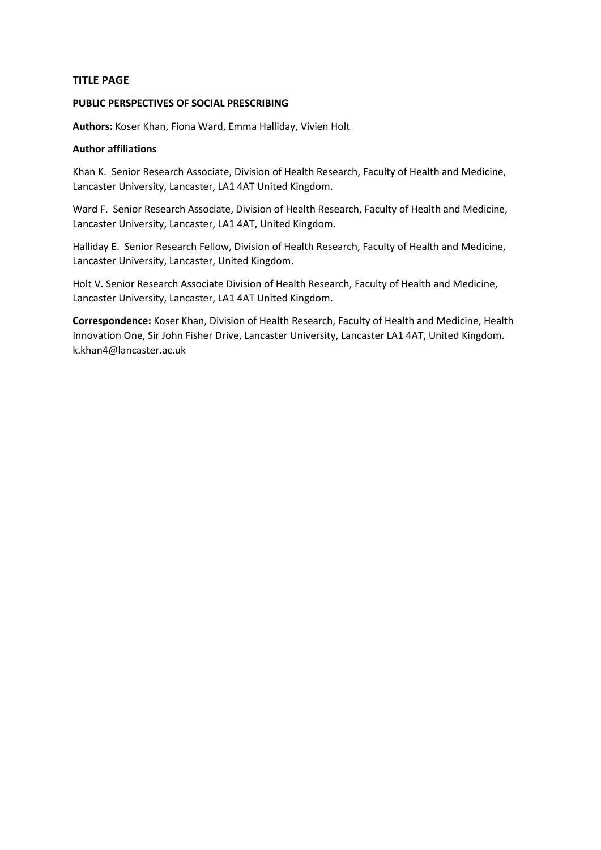# **TITLE PAGE**

## **PUBLIC PERSPECTIVES OF SOCIAL PRESCRIBING**

**Authors:** Koser Khan, Fiona Ward, Emma Halliday, Vivien Holt

### **Author affiliations**

Khan K. Senior Research Associate, Division of Health Research, Faculty of Health and Medicine, Lancaster University, Lancaster, LA1 4AT United Kingdom.

Ward F. Senior Research Associate, Division of Health Research, Faculty of Health and Medicine, Lancaster University, Lancaster, LA1 4AT, United Kingdom.

Halliday E. Senior Research Fellow, Division of Health Research, Faculty of Health and Medicine, Lancaster University, Lancaster, United Kingdom.

Holt V. Senior Research Associate Division of Health Research, Faculty of Health and Medicine, Lancaster University, Lancaster, LA1 4AT United Kingdom.

**Correspondence:** Koser Khan, Division of Health Research, Faculty of Health and Medicine, Health Innovation One, Sir John Fisher Drive, Lancaster University, Lancaster LA1 4AT, United Kingdom. k.khan4@lancaster.ac.uk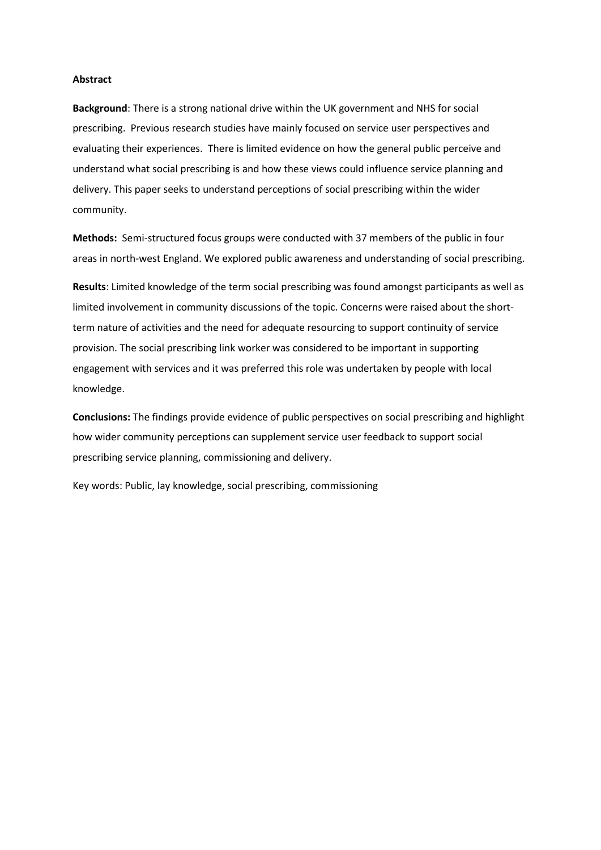#### **Abstract**

**Background**: There is a strong national drive within the UK government and NHS for social prescribing. Previous research studies have mainly focused on service user perspectives and evaluating their experiences. There is limited evidence on how the general public perceive and understand what social prescribing is and how these views could influence service planning and delivery. This paper seeks to understand perceptions of social prescribing within the wider community.

**Methods:** Semi-structured focus groups were conducted with 37 members of the public in four areas in north-west England. We explored public awareness and understanding of social prescribing.

**Results**: Limited knowledge of the term social prescribing was found amongst participants as well as limited involvement in community discussions of the topic. Concerns were raised about the shortterm nature of activities and the need for adequate resourcing to support continuity of service provision. The social prescribing link worker was considered to be important in supporting engagement with services and it was preferred this role was undertaken by people with local knowledge.

**Conclusions:** The findings provide evidence of public perspectives on social prescribing and highlight how wider community perceptions can supplement service user feedback to support social prescribing service planning, commissioning and delivery.

Key words: Public, lay knowledge, social prescribing, commissioning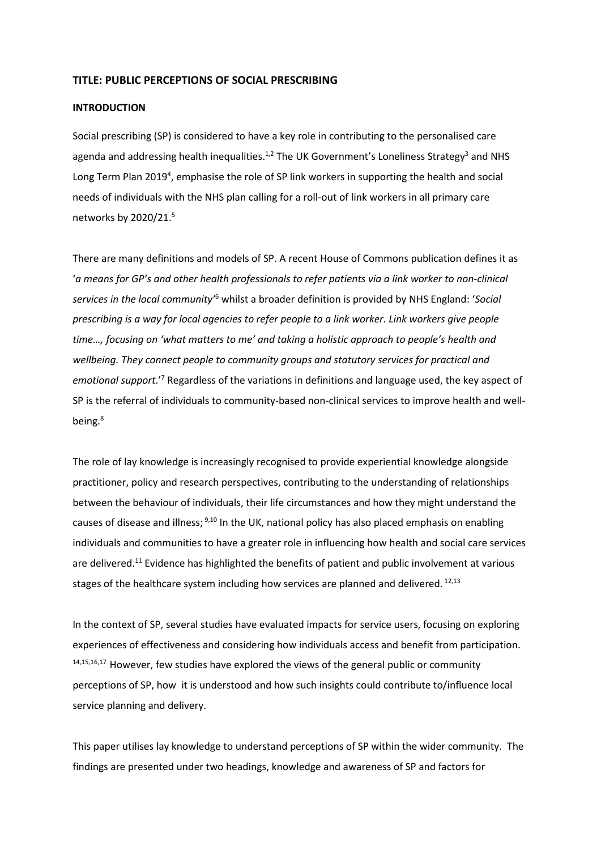## **TITLE: PUBLIC PERCEPTIONS OF SOCIAL PRESCRIBING**

#### **INTRODUCTION**

Social prescribing (SP) is considered to have a key role in contributing to the personalised care agenda and addressing health inequalities.<sup>1,2</sup> The UK Government's Loneliness Strategy<sup>3</sup> and NHS Long Term Plan 2019<sup>4</sup>, emphasise the role of SP link workers in supporting the health and social needs of individuals with the NHS plan calling for a roll-out of link workers in all primary care networks by 2020/21. 5

There are many definitions and models of SP. A recent House of Commons publication defines it as '*a means for GP's and other health professionals to refer patients via a link worker to non-clinical services in the local community'*<sup>6</sup> whilst a broader definition is provided by NHS England: '*Social prescribing is a way for local agencies to refer people to a link worker. Link workers give people time…, focusing on 'what matters to me' and taking a holistic approach to people's health and wellbeing. They connect people to community groups and statutory services for practical and*  emotional support.<sup>'7</sup> Regardless of the variations in definitions and language used, the key aspect of SP is the referral of individuals to community-based non-clinical services to improve health and wellbeing. 8

The role of lay knowledge is increasingly recognised to provide experiential knowledge alongside practitioner, policy and research perspectives, contributing to the understanding of relationships between the behaviour of individuals, their life circumstances and how they might understand the causes of disease and illness; <sup>9,10</sup> In the UK, national policy has also placed emphasis on enabling individuals and communities to have a greater role in influencing how health and social care services are delivered.<sup>11</sup> Evidence has highlighted the benefits of patient and public involvement at various stages of the healthcare system including how services are planned and delivered.  $12,13$ 

In the context of SP, several studies have evaluated impacts for service users, focusing on exploring experiences of effectiveness and considering how individuals access and benefit from participation.  $14,15,16,17$  However, few studies have explored the views of the general public or community perceptions of SP, how it is understood and how such insights could contribute to/influence local service planning and delivery.

This paper utilises lay knowledge to understand perceptions of SP within the wider community. The findings are presented under two headings, knowledge and awareness of SP and factors for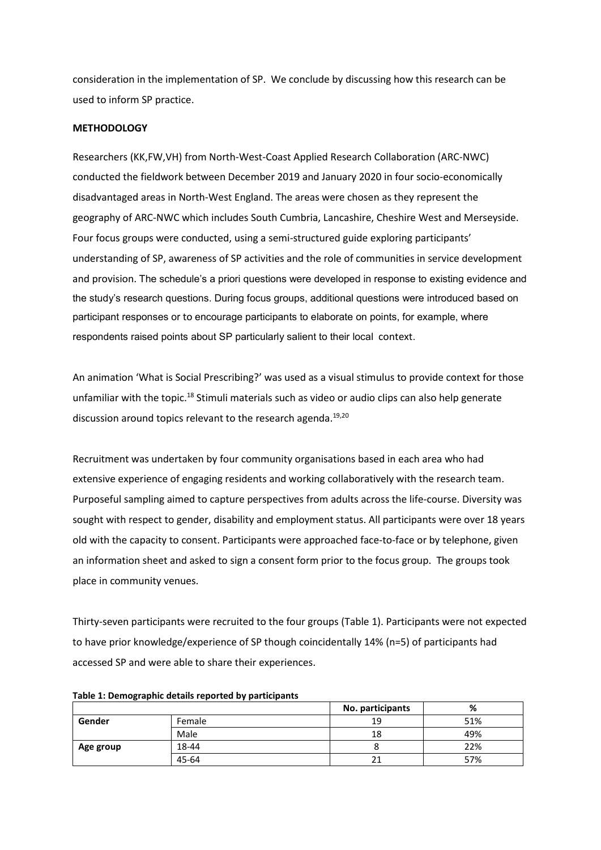consideration in the implementation of SP. We conclude by discussing how this research can be used to inform SP practice.

## **METHODOLOGY**

Researchers (KK,FW,VH) from North-West-Coast Applied Research Collaboration (ARC-NWC) conducted the fieldwork between December 2019 and January 2020 in four socio-economically disadvantaged areas in North-West England. The areas were chosen as they represent the geography of ARC-NWC which includes South Cumbria, Lancashire, Cheshire West and Merseyside. Four focus groups were conducted, using a semi-structured guide exploring participants' understanding of SP, awareness of SP activities and the role of communities in service development and provision. The schedule's a priori questions were developed in response to existing evidence and the study's research questions. During focus groups, additional questions were introduced based on participant responses or to encourage participants to elaborate on points, for example, where respondents raised points about SP particularly salient to their local context.

An animation 'What is Social Prescribing?' was used as a visual stimulus to provide context for those unfamiliar with the topic.<sup>18</sup> Stimuli materials such as video or audio clips can also help generate discussion around topics relevant to the research agenda.<sup>19,20</sup>

Recruitment was undertaken by four community organisations based in each area who had extensive experience of engaging residents and working collaboratively with the research team. Purposeful sampling aimed to capture perspectives from adults across the life-course. Diversity was sought with respect to gender, disability and employment status. All participants were over 18 years old with the capacity to consent. Participants were approached face-to-face or by telephone, given an information sheet and asked to sign a consent form prior to the focus group. The groups took place in community venues.

Thirty-seven participants were recruited to the four groups (Table 1). Participants were not expected to have prior knowledge/experience of SP though coincidentally 14% (n=5) of participants had accessed SP and were able to share their experiences.

|           |        | No. participants | %   |
|-----------|--------|------------------|-----|
| Gender    | Female | 19               | 51% |
|           | Male   | 18               | 49% |
| Age group | 18-44  | Ο                | 22% |
|           | 45-64  | 21               | 57% |

#### **Table 1: Demographic details reported by participants**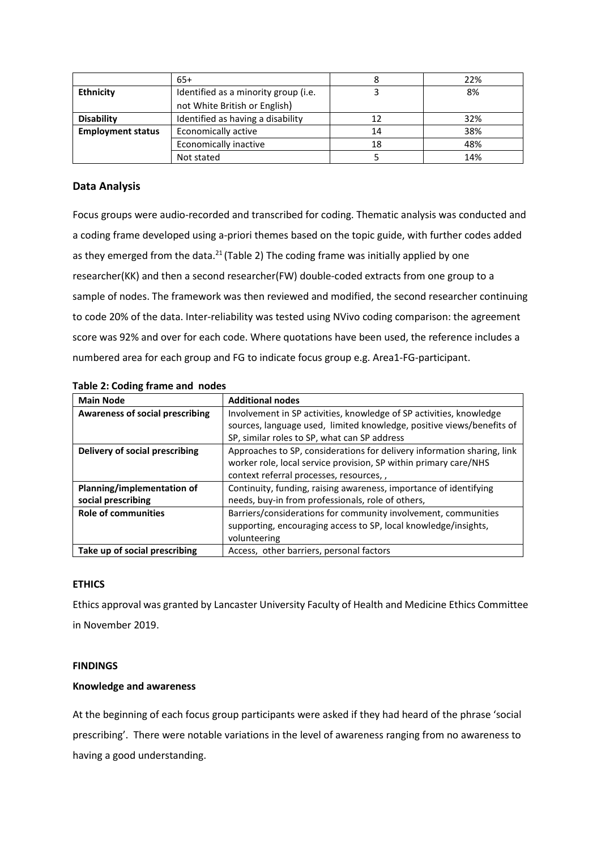|                                                 | 65+                                  | ٥  | 22% |
|-------------------------------------------------|--------------------------------------|----|-----|
| <b>Ethnicity</b>                                | Identified as a minority group (i.e. |    | 8%  |
|                                                 | not White British or English)        |    |     |
| <b>Disability</b>                               | Identified as having a disability    | 12 | 32% |
| Economically active<br><b>Employment status</b> |                                      | 14 | 38% |
|                                                 | Economically inactive                | 18 | 48% |
|                                                 | Not stated                           |    | 14% |

# **Data Analysis**

Focus groups were audio-recorded and transcribed for coding. Thematic analysis was conducted and a coding frame developed using a-priori themes based on the topic guide, with further codes added as they emerged from the data.<sup>21</sup> (Table 2) The coding frame was initially applied by one researcher(KK) and then a second researcher(FW) double-coded extracts from one group to a sample of nodes. The framework was then reviewed and modified, the second researcher continuing to code 20% of the data. Inter-reliability was tested using NVivo coding comparison: the agreement score was 92% and over for each code. Where quotations have been used, the reference includes a numbered area for each group and FG to indicate focus group e.g. Area1-FG-participant.

| <b>Main Node</b>                       | <b>Additional nodes</b>                                                 |  |
|----------------------------------------|-------------------------------------------------------------------------|--|
| <b>Awareness of social prescribing</b> | Involvement in SP activities, knowledge of SP activities, knowledge     |  |
|                                        | sources, language used, limited knowledge, positive views/benefits of   |  |
|                                        | SP, similar roles to SP, what can SP address                            |  |
| Delivery of social prescribing         | Approaches to SP, considerations for delivery information sharing, link |  |
|                                        | worker role, local service provision, SP within primary care/NHS        |  |
|                                        | context referral processes, resources,,                                 |  |
| Planning/implementation of             | Continuity, funding, raising awareness, importance of identifying       |  |
| social prescribing                     | needs, buy-in from professionals, role of others,                       |  |
| <b>Role of communities</b>             | Barriers/considerations for community involvement, communities          |  |
|                                        | supporting, encouraging access to SP, local knowledge/insights,         |  |
|                                        | volunteering                                                            |  |
| Take up of social prescribing          | Access, other barriers, personal factors                                |  |

### **Table 2: Coding frame and nodes**

#### **ETHICS**

Ethics approval was granted by Lancaster University Faculty of Health and Medicine Ethics Committee in November 2019.

# **FINDINGS**

# **Knowledge and awareness**

At the beginning of each focus group participants were asked if they had heard of the phrase 'social prescribing'. There were notable variations in the level of awareness ranging from no awareness to having a good understanding.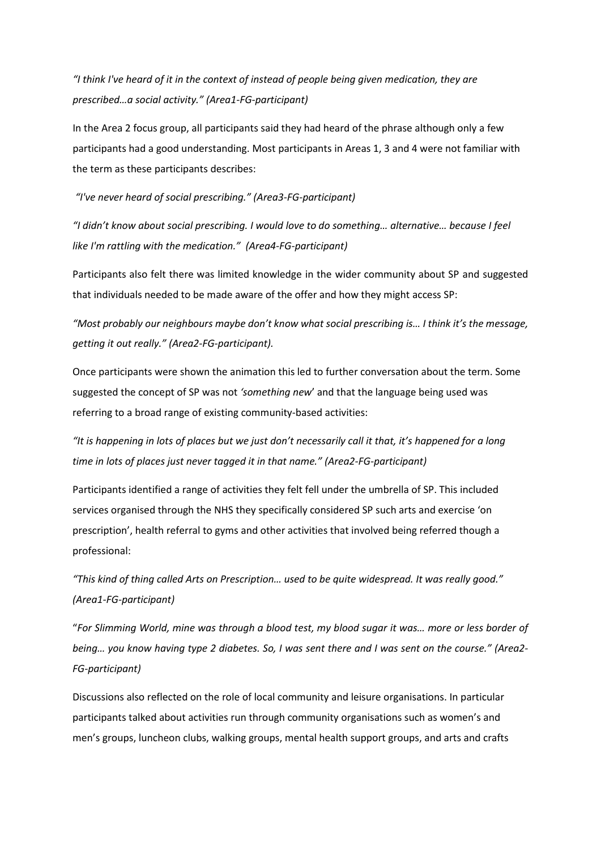*"I think I've heard of it in the context of instead of people being given medication, they are prescribed…a social activity." (Area1-FG-participant)*

In the Area 2 focus group, all participants said they had heard of the phrase although only a few participants had a good understanding. Most participants in Areas 1, 3 and 4 were not familiar with the term as these participants describes:

*"I've never heard of social prescribing." (Area3-FG-participant)*

*"I didn't know about social prescribing. I would love to do something… alternative… because I feel like I'm rattling with the medication." (Area4-FG-participant)*

Participants also felt there was limited knowledge in the wider community about SP and suggested that individuals needed to be made aware of the offer and how they might access SP:

*"Most probably our neighbours maybe don't know what social prescribing is… I think it's the message, getting it out really." (Area2-FG-participant).* 

Once participants were shown the animation this led to further conversation about the term. Some suggested the concept of SP was not *'something new*' and that the language being used was referring to a broad range of existing community-based activities:

*"It is happening in lots of places but we just don't necessarily call it that, it's happened for a long time in lots of places just never tagged it in that name." (Area2-FG-participant)*

Participants identified a range of activities they felt fell under the umbrella of SP. This included services organised through the NHS they specifically considered SP such arts and exercise 'on prescription', health referral to gyms and other activities that involved being referred though a professional:

*"This kind of thing called Arts on Prescription… used to be quite widespread. It was really good." (Area1-FG-participant)*

"*For Slimming World, mine was through a blood test, my blood sugar it was… more or less border of being… you know having type 2 diabetes. So, I was sent there and I was sent on the course." (Area2- FG-participant)* 

Discussions also reflected on the role of local community and leisure organisations. In particular participants talked about activities run through community organisations such as women's and men's groups, luncheon clubs, walking groups, mental health support groups, and arts and crafts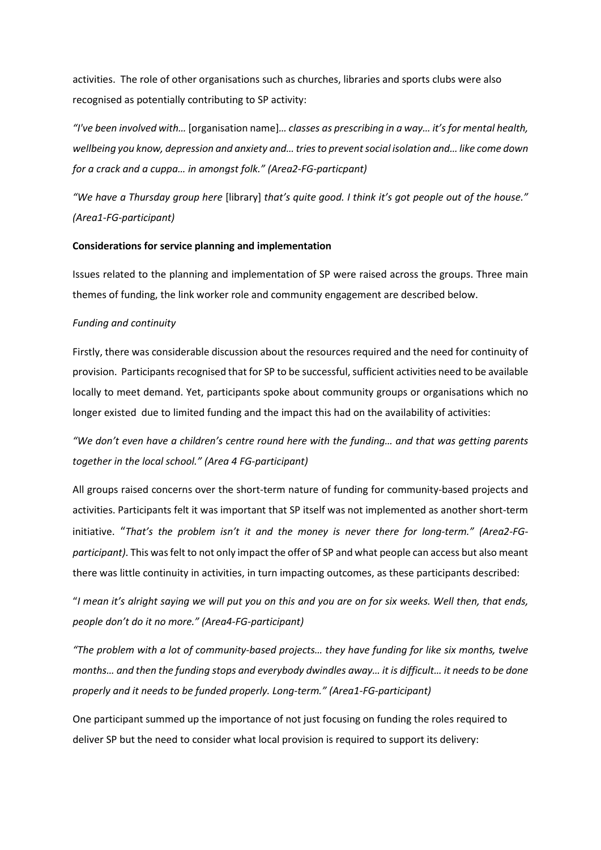activities. The role of other organisations such as churches, libraries and sports clubs were also recognised as potentially contributing to SP activity:

*"I've been involved with…* [organisation name]*… classes as prescribing in a way… it's for mental health,* wellbeing you know, depression and anxiety and... tries to prevent social isolation and... like come down *for a crack and a cuppa… in amongst folk." (Area2-FG-particpant)*

*"We have a Thursday group here* [library] *that's quite good. I think it's got people out of the house." (Area1-FG-participant)*

#### **Considerations for service planning and implementation**

Issues related to the planning and implementation of SP were raised across the groups. Three main themes of funding, the link worker role and community engagement are described below.

### *Funding and continuity*

Firstly, there was considerable discussion about the resources required and the need for continuity of provision. Participants recognised that for SP to be successful, sufficient activities need to be available locally to meet demand. Yet, participants spoke about community groups or organisations which no longer existed due to limited funding and the impact this had on the availability of activities:

*"We don't even have a children's centre round here with the funding… and that was getting parents together in the local school." (Area 4 FG-participant)* 

All groups raised concerns over the short-term nature of funding for community-based projects and activities. Participants felt it was important that SP itself was not implemented as another short-term initiative. "*That's the problem isn't it and the money is never there for long-term." (Area2-FGparticipant)*. This was felt to not only impact the offer of SP and what people can access but also meant there was little continuity in activities, in turn impacting outcomes, as these participants described:

"*I mean it's alright saying we will put you on this and you are on for six weeks. Well then, that ends, people don't do it no more." (Area4-FG-participant)* 

*"The problem with a lot of community-based projects… they have funding for like six months, twelve months… and then the funding stops and everybody dwindles away… it is difficult… it needs to be done properly and it needs to be funded properly. Long-term." (Area1-FG-participant)*

One participant summed up the importance of not just focusing on funding the roles required to deliver SP but the need to consider what local provision is required to support its delivery: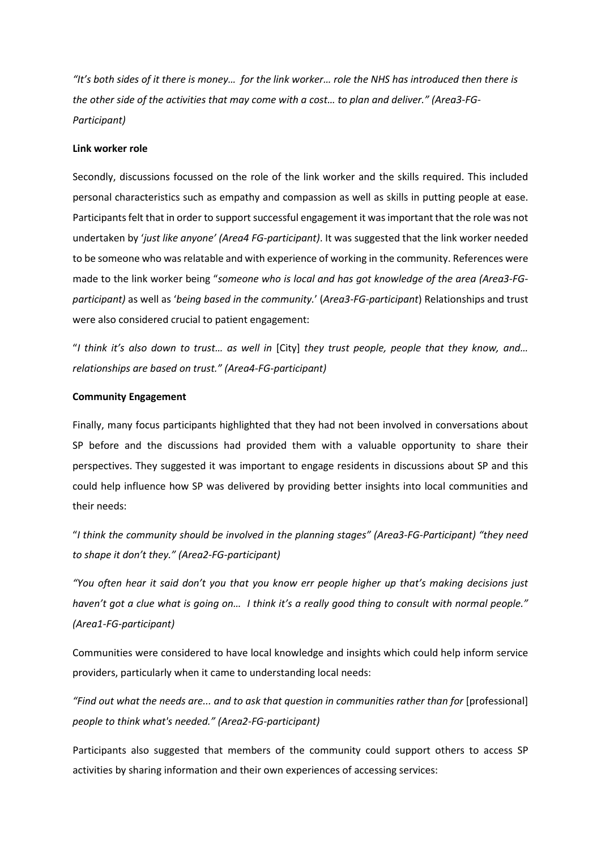*"It's both sides of it there is money… for the link worker… role the NHS has introduced then there is the other side of the activities that may come with a cost… to plan and deliver." (Area3-FG-Participant)*

## **Link worker role**

Secondly, discussions focussed on the role of the link worker and the skills required. This included personal characteristics such as empathy and compassion as well as skills in putting people at ease. Participants felt that in order to support successful engagement it was important that the role was not undertaken by '*just like anyone' (Area4 FG-participant)*. It was suggested that the link worker needed to be someone who was relatable and with experience of working in the community. References were made to the link worker being "*someone who is local and has got knowledge of the area (Area3-FGparticipant)* as well as '*being based in the community.*' (*Area3-FG-participant*) Relationships and trust were also considered crucial to patient engagement:

"*I think it's also down to trust… as well in* [City] *they trust people, people that they know, and… relationships are based on trust." (Area4-FG-participant)*

#### **Community Engagement**

Finally, many focus participants highlighted that they had not been involved in conversations about SP before and the discussions had provided them with a valuable opportunity to share their perspectives. They suggested it was important to engage residents in discussions about SP and this could help influence how SP was delivered by providing better insights into local communities and their needs:

"*I think the community should be involved in the planning stages" (Area3-FG-Participant) "they need to shape it don't they." (Area2-FG-participant)*

*"You often hear it said don't you that you know err people higher up that's making decisions just haven't got a clue what is going on… I think it's a really good thing to consult with normal people." (Area1-FG-participant)*

Communities were considered to have local knowledge and insights which could help inform service providers, particularly when it came to understanding local needs:

*"Find out what the needs are... and to ask that question in communities rather than for* [professional] *people to think what's needed." (Area2-FG-participant)*

Participants also suggested that members of the community could support others to access SP activities by sharing information and their own experiences of accessing services: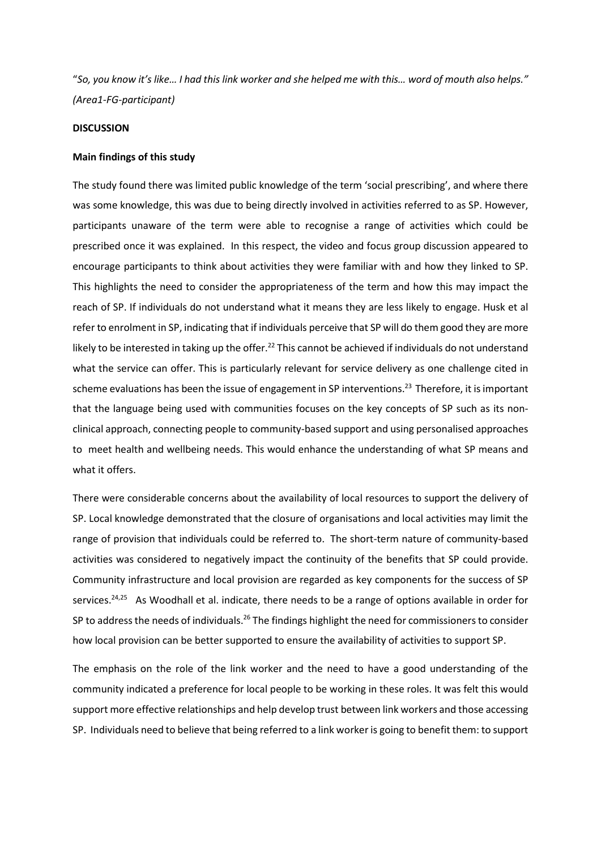"*So, you know it's like… I had this link worker and she helped me with this… word of mouth also helps." (Area1-FG-participant)*

## **DISCUSSION**

#### **Main findings of this study**

The study found there was limited public knowledge of the term 'social prescribing', and where there was some knowledge, this was due to being directly involved in activities referred to as SP. However, participants unaware of the term were able to recognise a range of activities which could be prescribed once it was explained. In this respect, the video and focus group discussion appeared to encourage participants to think about activities they were familiar with and how they linked to SP. This highlights the need to consider the appropriateness of the term and how this may impact the reach of SP. If individuals do not understand what it means they are less likely to engage. Husk et al refer to enrolment in SP, indicating that if individuals perceive that SP will do them good they are more likely to be interested in taking up the offer.<sup>22</sup> This cannot be achieved if individuals do not understand what the service can offer. This is particularly relevant for service delivery as one challenge cited in scheme evaluations has been the issue of engagement in SP interventions.<sup>23</sup> Therefore, it is important that the language being used with communities focuses on the key concepts of SP such as its nonclinical approach, connecting people to community-based support and using personalised approaches to meet health and wellbeing needs. This would enhance the understanding of what SP means and what it offers.

There were considerable concerns about the availability of local resources to support the delivery of SP. Local knowledge demonstrated that the closure of organisations and local activities may limit the range of provision that individuals could be referred to. The short-term nature of community-based activities was considered to negatively impact the continuity of the benefits that SP could provide. Community infrastructure and local provision are regarded as key components for the success of SP services.<sup>24,25</sup> As Woodhall et al. indicate, there needs to be a range of options available in order for SP to address the needs of individuals.<sup>26</sup> The findings highlight the need for commissioners to consider how local provision can be better supported to ensure the availability of activities to support SP.

The emphasis on the role of the link worker and the need to have a good understanding of the community indicated a preference for local people to be working in these roles. It was felt this would support more effective relationships and help develop trust between link workers and those accessing SP. Individuals need to believe that being referred to a link worker is going to benefit them: to support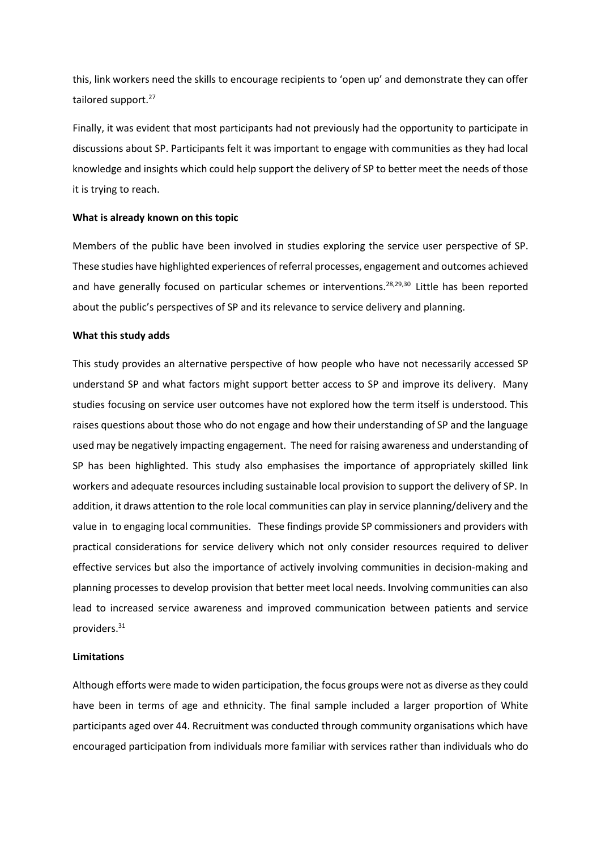this, link workers need the skills to encourage recipients to 'open up' and demonstrate they can offer tailored support.<sup>27</sup>

Finally, it was evident that most participants had not previously had the opportunity to participate in discussions about SP. Participants felt it was important to engage with communities as they had local knowledge and insights which could help support the delivery of SP to better meet the needs of those it is trying to reach.

#### **What is already known on this topic**

Members of the public have been involved in studies exploring the service user perspective of SP. These studies have highlighted experiences of referral processes, engagement and outcomes achieved and have generally focused on particular schemes or interventions.<sup>28,29,30</sup> Little has been reported about the public's perspectives of SP and its relevance to service delivery and planning.

#### **What this study adds**

This study provides an alternative perspective of how people who have not necessarily accessed SP understand SP and what factors might support better access to SP and improve its delivery. Many studies focusing on service user outcomes have not explored how the term itself is understood. This raises questions about those who do not engage and how their understanding of SP and the language used may be negatively impacting engagement. The need for raising awareness and understanding of SP has been highlighted. This study also emphasises the importance of appropriately skilled link workers and adequate resources including sustainable local provision to support the delivery of SP. In addition, it draws attention to the role local communities can play in service planning/delivery and the value in to engaging local communities. These findings provide SP commissioners and providers with practical considerations for service delivery which not only consider resources required to deliver effective services but also the importance of actively involving communities in decision-making and planning processes to develop provision that better meet local needs. Involving communities can also lead to increased service awareness and improved communication between patients and service providers.31

#### **Limitations**

Although efforts were made to widen participation, the focus groups were not as diverse as they could have been in terms of age and ethnicity. The final sample included a larger proportion of White participants aged over 44. Recruitment was conducted through community organisations which have encouraged participation from individuals more familiar with services rather than individuals who do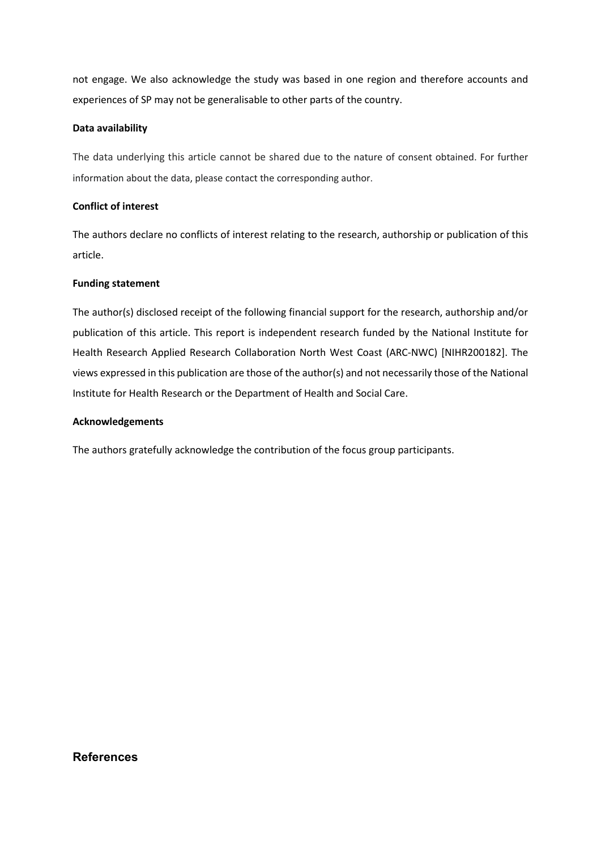not engage. We also acknowledge the study was based in one region and therefore accounts and experiences of SP may not be generalisable to other parts of the country.

## **Data availability**

The data underlying this article cannot be shared due to the nature of consent obtained. For further information about the data, please contact the corresponding author.

## **Conflict of interest**

The authors declare no conflicts of interest relating to the research, authorship or publication of this article.

### **Funding statement**

The author(s) disclosed receipt of the following financial support for the research, authorship and/or publication of this article. This report is independent research funded by the National Institute for Health Research Applied Research Collaboration North West Coast (ARC-NWC) [NIHR200182]. The views expressed in this publication are those of the author(s) and not necessarily those of the National Institute for Health Research or the Department of Health and Social Care.

#### **Acknowledgements**

The authors gratefully acknowledge the contribution of the focus group participants.

**References**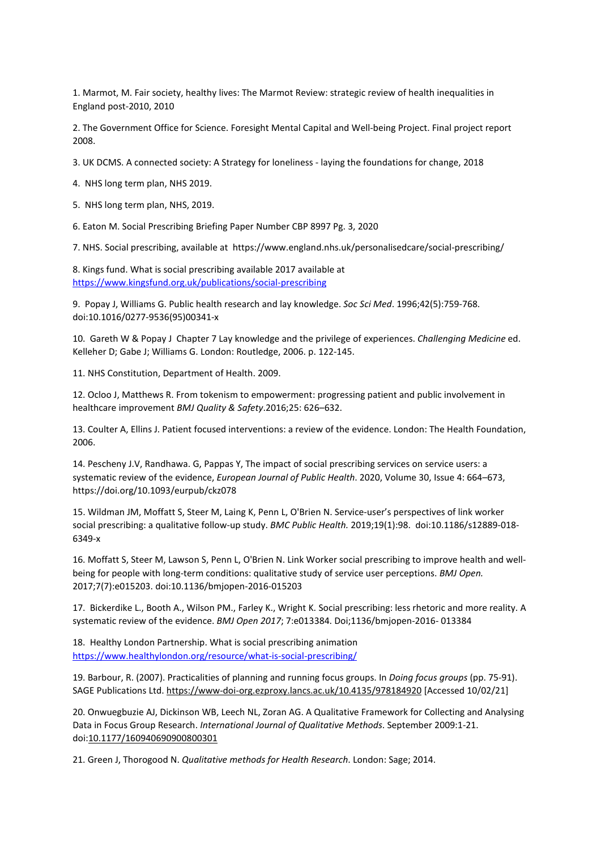1. Marmot, M. Fair society, healthy lives: The Marmot Review: strategic review of health inequalities in England post-2010, 2010

2. The Government Office for Science. Foresight Mental Capital and Well-being Project. Final project report 2008.

3. UK DCMS. A connected society: A Strategy for loneliness - laying the foundations for change, 2018

4. NHS long term plan, NHS 2019.

5. NHS long term plan, NHS, 2019.

6. Eaton M. Social Prescribing Briefing Paper Number CBP 8997 Pg. 3, 2020

7. NHS. Social prescribing, available at https://www.england.nhs.uk/personalisedcare/social-prescribing/

8. Kings fund. What is social prescribing available 2017 available at <https://www.kingsfund.org.uk/publications/social-prescribing>

9. Popay J, Williams G. Public health research and lay knowledge. *Soc Sci Med*. 1996;42(5):759-768. doi:10.1016/0277-9536(95)00341-x

10. Gareth W & Popay J Chapter 7 Lay knowledge and the privilege of experiences. *Challenging Medicine* ed. Kelleher D; Gabe J; Williams G. London: Routledge, 2006. p. 122-145.

11. NHS Constitution, Department of Health. 2009.

12. Ocloo J, Matthews R. From tokenism to empowerment: progressing patient and public involvement in healthcare improvement *BMJ Quality & Safety*.2016;25: 626–632.

13. Coulter A, Ellins J. Patient focused interventions: a review of the evidence. London: The Health Foundation, 2006.

14. Pescheny J.V, Randhawa. G, Pappas Y, The impact of social prescribing services on service users: a systematic review of the evidence, *European Journal of Public Health*. 2020, Volume 30, Issue 4: 664–673, https://doi.org/10.1093/eurpub/ckz078

15. Wildman JM, Moffatt S, Steer M, Laing K, Penn L, O'Brien N. Service-user's perspectives of link worker social prescribing: a qualitative follow-up study. *BMC Public Health.* 2019;19(1):98. doi:10.1186/s12889-018- 6349-x

16. Moffatt S, Steer M, Lawson S, Penn L, O'Brien N. Link Worker social prescribing to improve health and wellbeing for people with long-term conditions: qualitative study of service user perceptions. *BMJ Open.* 2017;7(7):e015203. doi:10.1136/bmjopen-2016-015203

17. Bickerdike L., Booth A., Wilson PM., Farley K., Wright K. Social prescribing: less rhetoric and more reality. A systematic review of the evidence. *BMJ Open 2017*; 7:e013384. Doi;1136/bmjopen-2016- 013384

18. Healthy London Partnership. What is social prescribing animation <https://www.healthylondon.org/resource/what-is-social-prescribing/>

19. Barbour, R. (2007). Practicalities of planning and running focus groups. In *Doing focus groups* (pp. 75-91). SAGE Publications Ltd. <https://www-doi-org.ezproxy.lancs.ac.uk/10.4135/978184920> [Accessed 10/02/21]

20. Onwuegbuzie AJ, Dickinson WB, Leech NL, Zoran AG. A Qualitative Framework for Collecting and Analysing Data in Focus Group Research. *International Journal of Qualitative Methods*. September 2009:1-21. doi[:10.1177/160940690900800301](https://doi.org/10.1177/160940690900800301)

21. Green J, Thorogood N. *Qualitative methods for Health Research*. London: Sage; 2014.